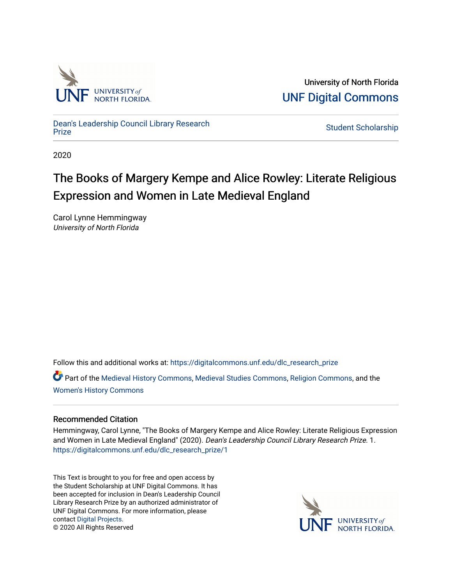

University of North Florida [UNF Digital Commons](https://digitalcommons.unf.edu/) 

[Dean's Leadership Council Library Research](https://digitalcommons.unf.edu/dlc_research_prize)

**Student Scholarship** 

2020

# The Books of Margery Kempe and Alice Rowley: Literate Religious Expression and Women in Late Medieval England

Carol Lynne Hemmingway University of North Florida

Follow this and additional works at: [https://digitalcommons.unf.edu/dlc\\_research\\_prize](https://digitalcommons.unf.edu/dlc_research_prize?utm_source=digitalcommons.unf.edu%2Fdlc_research_prize%2F1&utm_medium=PDF&utm_campaign=PDFCoverPages)

Part of the [Medieval History Commons](http://network.bepress.com/hgg/discipline/503?utm_source=digitalcommons.unf.edu%2Fdlc_research_prize%2F1&utm_medium=PDF&utm_campaign=PDFCoverPages), [Medieval Studies Commons,](http://network.bepress.com/hgg/discipline/480?utm_source=digitalcommons.unf.edu%2Fdlc_research_prize%2F1&utm_medium=PDF&utm_campaign=PDFCoverPages) [Religion Commons](http://network.bepress.com/hgg/discipline/538?utm_source=digitalcommons.unf.edu%2Fdlc_research_prize%2F1&utm_medium=PDF&utm_campaign=PDFCoverPages), and the [Women's History Commons](http://network.bepress.com/hgg/discipline/507?utm_source=digitalcommons.unf.edu%2Fdlc_research_prize%2F1&utm_medium=PDF&utm_campaign=PDFCoverPages) 

## Recommended Citation

Hemmingway, Carol Lynne, "The Books of Margery Kempe and Alice Rowley: Literate Religious Expression and Women in Late Medieval England" (2020). Dean's Leadership Council Library Research Prize. 1. [https://digitalcommons.unf.edu/dlc\\_research\\_prize/1](https://digitalcommons.unf.edu/dlc_research_prize/1?utm_source=digitalcommons.unf.edu%2Fdlc_research_prize%2F1&utm_medium=PDF&utm_campaign=PDFCoverPages) 

This Text is brought to you for free and open access by the Student Scholarship at UNF Digital Commons. It has been accepted for inclusion in Dean's Leadership Council Library Research Prize by an authorized administrator of UNF Digital Commons. For more information, please contact [Digital Projects](mailto:lib-digital@unf.edu). © 2020 All Rights Reserved

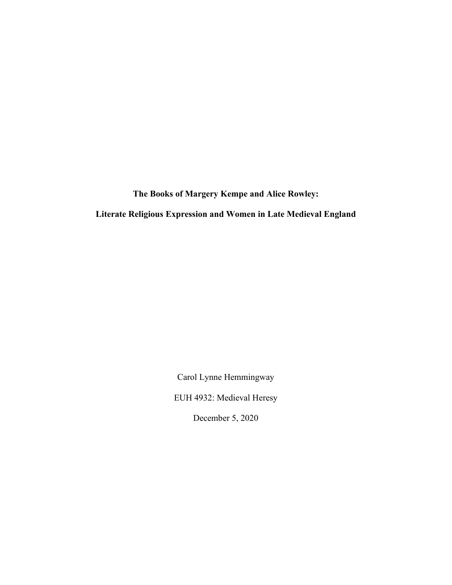**The Books of Margery Kempe and Alice Rowley:** 

**Literate Religious Expression and Women in Late Medieval England**

Carol Lynne Hemmingway

EUH 4932: Medieval Heresy

December 5, 2020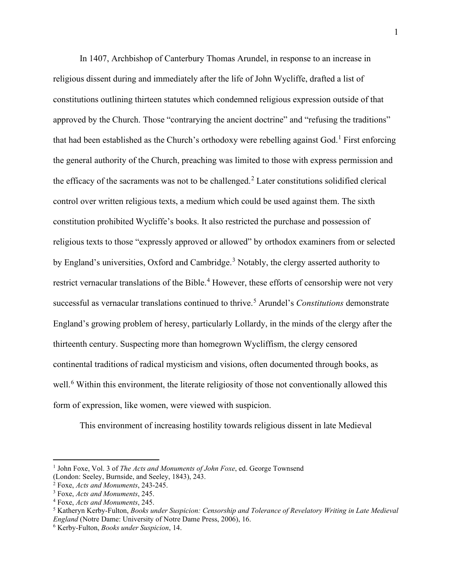In 1407, Archbishop of Canterbury Thomas Arundel, in response to an increase in religious dissent during and immediately after the life of John Wycliffe, drafted a list of constitutions outlining thirteen statutes which condemned religious expression outside of that approved by the Church. Those "contrarying the ancient doctrine" and "refusing the traditions" that had been established as the Church's orthodoxy were rebelling against God.<sup>[1](#page-2-0)</sup> First enforcing the general authority of the Church, preaching was limited to those with express permission and the efficacy of the sacraments was not to be challenged.<sup>[2](#page-2-1)</sup> Later constitutions solidified clerical control over written religious texts, a medium which could be used against them. The sixth constitution prohibited Wycliffe's books. It also restricted the purchase and possession of religious texts to those "expressly approved or allowed" by orthodox examiners from or selected by England's universities, Oxford and Cambridge.<sup>[3](#page-2-2)</sup> Notably, the clergy asserted authority to restrict vernacular translations of the Bible.<sup>[4](#page-2-3)</sup> However, these efforts of censorship were not very successful as vernacular translations continued to thrive. [5](#page-2-4) Arundel's *Constitutions* demonstrate England's growing problem of heresy, particularly Lollardy, in the minds of the clergy after the thirteenth century. Suspecting more than homegrown Wycliffism, the clergy censored continental traditions of radical mysticism and visions, often documented through books, as well.<sup>[6](#page-2-5)</sup> Within this environment, the literate religiosity of those not conventionally allowed this form of expression, like women, were viewed with suspicion.

This environment of increasing hostility towards religious dissent in late Medieval

<span id="page-2-0"></span><sup>&</sup>lt;sup>1</sup> John Foxe, Vol. 3 of *The Acts and Monuments of John Foxe*, ed. George Townsend

<sup>(</sup>London: Seeley, Burnside, and Seeley, 1843), 243.

<span id="page-2-1"></span><sup>2</sup> Foxe, *Acts and Monuments*, 243-245.

<span id="page-2-2"></span><sup>3</sup> Foxe, *Acts and Monuments*, 245.

<span id="page-2-3"></span><sup>4</sup> Foxe, *Acts and Monuments*, 245.

<span id="page-2-4"></span><sup>5</sup> Katheryn Kerby-Fulton, *Books under Suspicion: Censorship and Tolerance of Revelatory Writing in Late Medieval England* (Notre Dame: University of Notre Dame Press, 2006), 16.

<span id="page-2-5"></span><sup>6</sup> Kerby-Fulton, *Books under Suspicion*, 14.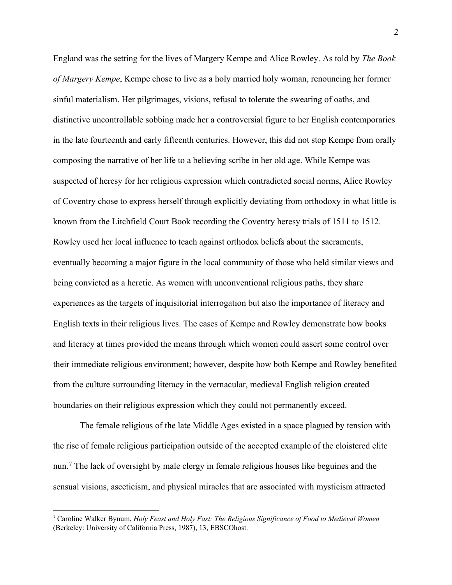England was the setting for the lives of Margery Kempe and Alice Rowley. As told by *The Book of Margery Kempe*, Kempe chose to live as a holy married holy woman, renouncing her former sinful materialism. Her pilgrimages, visions, refusal to tolerate the swearing of oaths, and distinctive uncontrollable sobbing made her a controversial figure to her English contemporaries in the late fourteenth and early fifteenth centuries. However, this did not stop Kempe from orally composing the narrative of her life to a believing scribe in her old age. While Kempe was suspected of heresy for her religious expression which contradicted social norms, Alice Rowley of Coventry chose to express herself through explicitly deviating from orthodoxy in what little is known from the Litchfield Court Book recording the Coventry heresy trials of 1511 to 1512. Rowley used her local influence to teach against orthodox beliefs about the sacraments, eventually becoming a major figure in the local community of those who held similar views and being convicted as a heretic. As women with unconventional religious paths, they share experiences as the targets of inquisitorial interrogation but also the importance of literacy and English texts in their religious lives. The cases of Kempe and Rowley demonstrate how books and literacy at times provided the means through which women could assert some control over their immediate religious environment; however, despite how both Kempe and Rowley benefited from the culture surrounding literacy in the vernacular, medieval English religion created boundaries on their religious expression which they could not permanently exceed.

The female religious of the late Middle Ages existed in a space plagued by tension with the rise of female religious participation outside of the accepted example of the cloistered elite nun.<sup>[7](#page-3-0)</sup> The lack of oversight by male clergy in female religious houses like beguines and the sensual visions, asceticism, and physical miracles that are associated with mysticism attracted

<span id="page-3-0"></span><sup>7</sup> Caroline Walker Bynum, *Holy Feast and Holy Fast: The Religious Significance of Food to Medieval Women* (Berkeley: University of California Press, 1987), 13, EBSCOhost.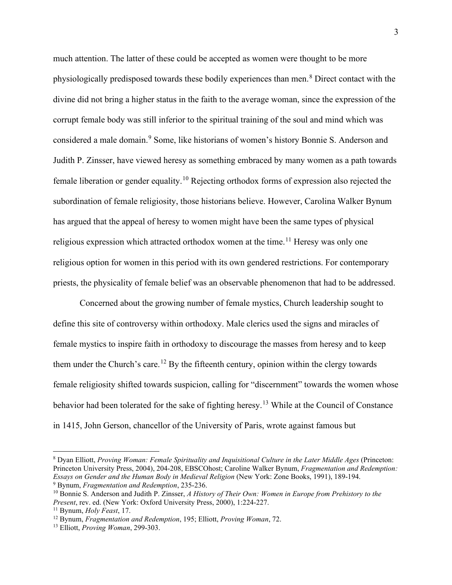much attention. The latter of these could be accepted as women were thought to be more physiologically predisposed towards these bodily experiences than men.<sup>[8](#page-4-0)</sup> Direct contact with the divine did not bring a higher status in the faith to the average woman, since the expression of the corrupt female body was still inferior to the spiritual training of the soul and mind which was considered a male domain.<sup>[9](#page-4-1)</sup> Some, like historians of women's history Bonnie S. Anderson and Judith P. Zinsser, have viewed heresy as something embraced by many women as a path towards female liberation or gender equality.[10](#page-4-2) Rejecting orthodox forms of expression also rejected the subordination of female religiosity, those historians believe. However, Carolina Walker Bynum has argued that the appeal of heresy to women might have been the same types of physical religious expression which attracted orthodox women at the time.<sup>[11](#page-4-3)</sup> Heresy was only one religious option for women in this period with its own gendered restrictions. For contemporary priests, the physicality of female belief was an observable phenomenon that had to be addressed.

Concerned about the growing number of female mystics, Church leadership sought to define this site of controversy within orthodoxy. Male clerics used the signs and miracles of female mystics to inspire faith in orthodoxy to discourage the masses from heresy and to keep them under the Church's care.<sup>[12](#page-4-4)</sup> By the fifteenth century, opinion within the clergy towards female religiosity shifted towards suspicion, calling for "discernment" towards the women whose behavior had been tolerated for the sake of fighting heresy.<sup>[13](#page-4-5)</sup> While at the Council of Constance in 1415, John Gerson, chancellor of the University of Paris, wrote against famous but

<span id="page-4-0"></span><sup>8</sup> Dyan Elliott, *Proving Woman: Female Spirituality and Inquisitional Culture in the Later Middle Ages* (Princeton: Princeton University Press, 2004), 204-208, EBSCOhost; Caroline Walker Bynum, *Fragmentation and Redemption: Essays on Gender and the Human Body in Medieval Religion* (New York: Zone Books, 1991), 189-194. <sup>9</sup> Bynum, *Fragmentation and Redemption*, 235-236.

<span id="page-4-2"></span><span id="page-4-1"></span><sup>10</sup> Bonnie S. Anderson and Judith P. Zinsser, *A History of Their Own: Women in Europe from Prehistory to the Present*, rev. ed. (New York: Oxford University Press, 2000), 1:224-227.

<span id="page-4-3"></span><sup>11</sup> Bynum, *Holy Feast*, 17.

<span id="page-4-4"></span><sup>12</sup> Bynum, *Fragmentation and Redemption*, 195; Elliott, *Proving Woman*, 72.

<span id="page-4-5"></span><sup>13</sup> Elliott, *Proving Woman*, 299-303.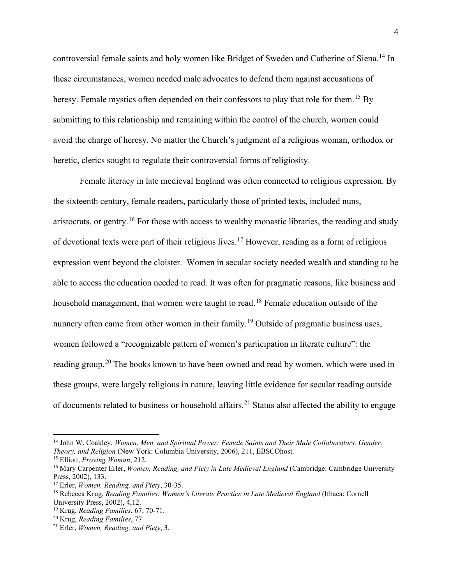controversial female saints and holy women like Bridget of Sweden and Catherine of Siena.<sup>[14](#page-5-0)</sup> In these circumstances, women needed male advocates to defend them against accusations of heresy. Female mystics often depended on their confessors to play that role for them.<sup>[15](#page-5-1)</sup> By submitting to this relationship and remaining within the control of the church, women could avoid the charge of heresy. No matter the Church's judgment of a religious woman, orthodox or heretic, clerics sought to regulate their controversial forms of religiosity.

Female literacy in late medieval England was often connected to religious expression. By the sixteenth century, female readers, particularly those of printed texts, included nuns, aristocrats, or gentry.<sup>[16](#page-5-2)</sup> For those with access to wealthy monastic libraries, the reading and study of devotional texts were part of their religious lives.<sup>[17](#page-5-3)</sup> However, reading as a form of religious expression went beyond the cloister. Women in secular society needed wealth and standing to be able to access the education needed to read. It was often for pragmatic reasons, like business and household management, that women were taught to read.<sup>[18](#page-5-4)</sup> Female education outside of the nunnery often came from other women in their family.<sup>[19](#page-5-5)</sup> Outside of pragmatic business uses, women followed a "recognizable pattern of women's participation in literate culture": the reading group.<sup>[20](#page-5-6)</sup> The books known to have been owned and read by women, which were used in these groups, were largely religious in nature, leaving little evidence for secular reading outside of documents related to business or household affairs.<sup>[21](#page-5-7)</sup> Status also affected the ability to engage

<span id="page-5-0"></span><sup>14</sup> John W. Coakley, *Women, Men, and Spiritual Power: Female Saints and Their Male Collaborators. Gender, Theory, and Religion* (New York: Columbia University, 2006), 211, EBSCOhost.

<span id="page-5-1"></span><sup>15</sup> Elliott, *Proving Woman*, 212.

<span id="page-5-2"></span><sup>&</sup>lt;sup>16</sup> Mary Carpenter Erler, *Women, Reading, and Piety in Late Medieval England* (Cambridge: Cambridge University Press, 2002), 133.

<span id="page-5-3"></span><sup>17</sup> Erler, *Women, Reading, and Piety*, 30-35.

<span id="page-5-4"></span><sup>18</sup> Rebecca Krug, *Reading Families: Women's Literate Practice in Late Medieval England* (Ithaca: Cornell University Press, 2002), 4,12.

<span id="page-5-5"></span><sup>19</sup> Krug, *Reading Families*, 67, 70-71.

<span id="page-5-6"></span><sup>20</sup> Krug, *Reading Families*, 77.

<span id="page-5-7"></span><sup>21</sup> Erler, *Women, Reading, and Piety*, 3.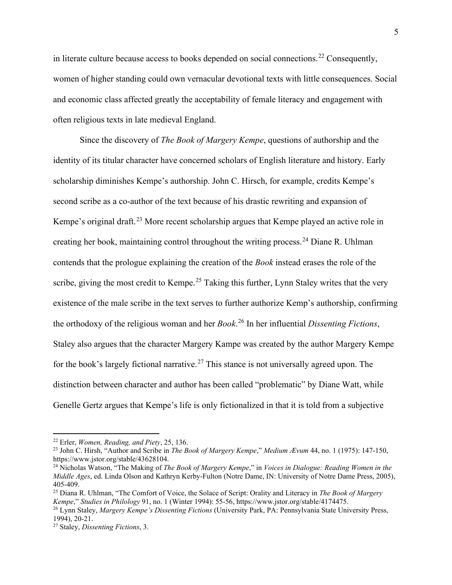in literate culture because access to books depended on social connections.<sup>[22](#page-6-0)</sup> Consequently, women of higher standing could own vernacular devotional texts with little consequences. Social and economic class affected greatly the acceptability of female literacy and engagement with often religious texts in late medieval England.

Since the discovery of *The Book of Margery Kempe*, questions of authorship and the identity of its titular character have concerned scholars of English literature and history. Early scholarship diminishes Kempe's authorship. John C. Hirsch, for example, credits Kempe's second scribe as a co-author of the text because of his drastic rewriting and expansion of Kempe's original draft.<sup>[23](#page-6-1)</sup> More recent scholarship argues that Kempe played an active role in creating her book, maintaining control throughout the writing process.<sup>[24](#page-6-2)</sup> Diane R. Uhlman contends that the prologue explaining the creation of the *Book* instead erases the role of the scribe, giving the most credit to Kempe.<sup>[25](#page-6-3)</sup> Taking this further, Lynn Staley writes that the very existence of the male scribe in the text serves to further authorize Kemp's authorship, confirming the orthodoxy of the religious woman and her *Book*. [26](#page-6-4) In her influential *Dissenting Fictions*, Staley also argues that the character Margery Kampe was created by the author Margery Kempe for the book's largely fictional narrative.<sup>[27](#page-6-5)</sup> This stance is not universally agreed upon. The distinction between character and author has been called "problematic" by Diane Watt, while Genelle Gertz argues that Kempe's life is only fictionalized in that it is told from a subjective

<span id="page-6-0"></span><sup>22</sup> Erler, *Women, Reading, and Piety*, 25, 136.

<span id="page-6-1"></span><sup>23</sup> John C. Hirsh, "Author and Scribe in *The Book of Margery Kempe*," *Medium Ævum* 44, no. 1 (1975): 147-150, https://www.jstor.org/stable/43628104.

<span id="page-6-2"></span><sup>24</sup> Nicholas Watson, "The Making of *The Book of Margery Kempe*," in *Voices in Dialogue: Reading Women in the Middle Ages*, ed. Linda Olson and Kathryn Kerby-Fulton (Notre Dame, IN: University of Notre Dame Press, 2005), 405-409.

<span id="page-6-3"></span><sup>25</sup> Diana R. Uhlman, "The Comfort of Voice, the Solace of Script: Orality and Literacy in *The Book of Margery Kempe*," *Studies in Philology* 91, no. 1 (Winter 1994): 55-56, https://www.jstor.org/stable/4174475.

<span id="page-6-4"></span><sup>26</sup> Lynn Staley, *Margery Kempe's Dissenting Fictions* (University Park, PA: Pennsylvania State University Press, 1994), 20-21.

<span id="page-6-5"></span><sup>27</sup> Staley, *Dissenting Fictions*, 3.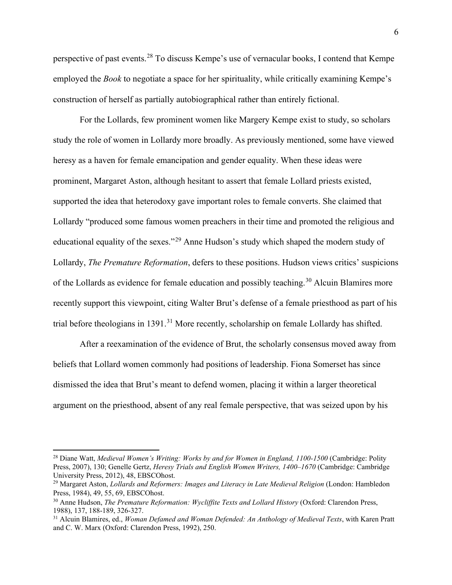perspective of past events.<sup>[28](#page-7-0)</sup> To discuss Kempe's use of vernacular books, I contend that Kempe employed the *Book* to negotiate a space for her spirituality, while critically examining Kempe's construction of herself as partially autobiographical rather than entirely fictional.

For the Lollards, few prominent women like Margery Kempe exist to study, so scholars study the role of women in Lollardy more broadly. As previously mentioned, some have viewed heresy as a haven for female emancipation and gender equality. When these ideas were prominent, Margaret Aston, although hesitant to assert that female Lollard priests existed, supported the idea that heterodoxy gave important roles to female converts. She claimed that Lollardy "produced some famous women preachers in their time and promoted the religious and educational equality of the sexes."[29](#page-7-1) Anne Hudson's study which shaped the modern study of Lollardy, *The Premature Reformation*, defers to these positions. Hudson views critics' suspicions of the Lollards as evidence for female education and possibly teaching.<sup>[30](#page-7-2)</sup> Alcuin Blamires more recently support this viewpoint, citing Walter Brut's defense of a female priesthood as part of his trial before theologians in 1391.<sup>[31](#page-7-3)</sup> More recently, scholarship on female Lollardy has shifted.

After a reexamination of the evidence of Brut, the scholarly consensus moved away from beliefs that Lollard women commonly had positions of leadership. Fiona Somerset has since dismissed the idea that Brut's meant to defend women, placing it within a larger theoretical argument on the priesthood, absent of any real female perspective, that was seized upon by his

<span id="page-7-0"></span><sup>28</sup> Diane Watt, *Medieval Women's Writing: Works by and for Women in England, 1100-1500* (Cambridge: Polity Press, 2007), 130; Genelle Gertz, *Heresy Trials and English Women Writers, 1400–1670* (Cambridge: Cambridge University Press, 2012), 48, EBSCOhost.

<span id="page-7-1"></span><sup>29</sup> Margaret Aston, *Lollards and Reformers: Images and Literacy in Late Medieval Religion* (London: Hambledon Press, 1984), 49, 55, 69, EBSCOhost.

<span id="page-7-2"></span><sup>30</sup> Anne Hudson, *The Premature Reformation: Wycliffite Texts and Lollard History* (Oxford: Clarendon Press, 1988), 137, 188-189, 326-327.

<span id="page-7-3"></span><sup>31</sup> Alcuin Blamires, ed., *Woman Defamed and Woman Defended: An Anthology of Medieval Texts*, with Karen Pratt and C. W. Marx (Oxford: Clarendon Press, 1992), 250.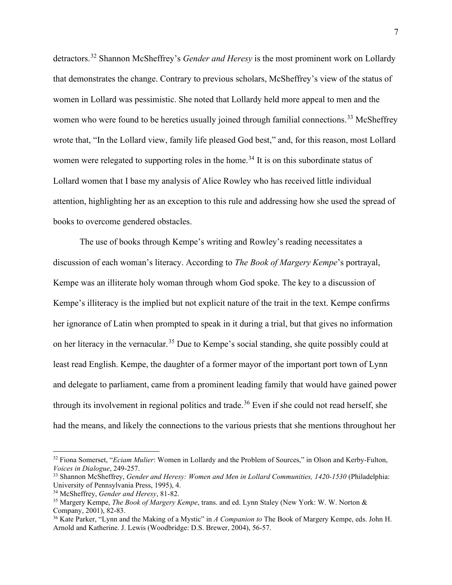detractors.[32](#page-8-0) Shannon McSheffrey's *Gender and Heresy* is the most prominent work on Lollardy that demonstrates the change. Contrary to previous scholars, McSheffrey's view of the status of women in Lollard was pessimistic. She noted that Lollardy held more appeal to men and the women who were found to be heretics usually joined through familial connections.<sup>[33](#page-8-1)</sup> McSheffrey wrote that, "In the Lollard view, family life pleased God best," and, for this reason, most Lollard women were relegated to supporting roles in the home.<sup>[34](#page-8-2)</sup> It is on this subordinate status of Lollard women that I base my analysis of Alice Rowley who has received little individual attention, highlighting her as an exception to this rule and addressing how she used the spread of books to overcome gendered obstacles.

The use of books through Kempe's writing and Rowley's reading necessitates a discussion of each woman's literacy. According to *The Book of Margery Kempe*'s portrayal, Kempe was an illiterate holy woman through whom God spoke. The key to a discussion of Kempe's illiteracy is the implied but not explicit nature of the trait in the text. Kempe confirms her ignorance of Latin when prompted to speak in it during a trial, but that gives no information on her literacy in the vernacular.<sup>[35](#page-8-3)</sup> Due to Kempe's social standing, she quite possibly could at least read English. Kempe, the daughter of a former mayor of the important port town of Lynn and delegate to parliament, came from a prominent leading family that would have gained power through its involvement in regional politics and trade.<sup>[36](#page-8-4)</sup> Even if she could not read herself, she had the means, and likely the connections to the various priests that she mentions throughout her

<span id="page-8-0"></span><sup>32</sup> Fiona Somerset, "*Eciam Mulier*: Women in Lollardy and the Problem of Sources," in Olson and Kerby-Fulton, *Voices in Dialogue*, 249-257.

<span id="page-8-1"></span><sup>33</sup> Shannon McSheffrey, *Gender and Heresy: Women and Men in Lollard Communities, 1420-1530* (Philadelphia: University of Pennsylvania Press, 1995), 4.

<span id="page-8-2"></span><sup>34</sup> McSheffrey, *Gender and Heresy*, 81-82.

<span id="page-8-3"></span><sup>35</sup> Margery Kempe, *The Book of Margery Kempe*, trans. and ed. Lynn Staley (New York: W. W. Norton & Company, 2001), 82-83.

<span id="page-8-4"></span><sup>36</sup> Kate Parker, "Lynn and the Making of a Mystic" in *A Companion to* The Book of Margery Kempe, eds. John H. Arnold and Katherine. J. Lewis (Woodbridge: D.S. Brewer, 2004), 56-57.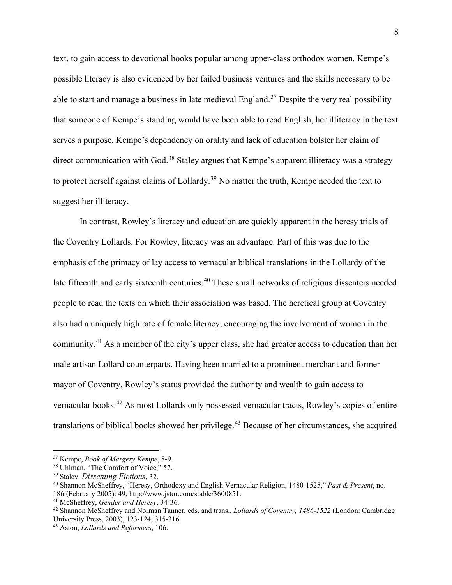text, to gain access to devotional books popular among upper-class orthodox women. Kempe's possible literacy is also evidenced by her failed business ventures and the skills necessary to be able to start and manage a business in late medieval England.<sup>[37](#page-9-0)</sup> Despite the very real possibility that someone of Kempe's standing would have been able to read English, her illiteracy in the text serves a purpose. Kempe's dependency on orality and lack of education bolster her claim of direct communication with God.<sup>[38](#page-9-1)</sup> Staley argues that Kempe's apparent illiteracy was a strategy to protect herself against claims of Lollardy.<sup>[39](#page-9-2)</sup> No matter the truth, Kempe needed the text to suggest her illiteracy.

In contrast, Rowley's literacy and education are quickly apparent in the heresy trials of the Coventry Lollards. For Rowley, literacy was an advantage. Part of this was due to the emphasis of the primacy of lay access to vernacular biblical translations in the Lollardy of the late fifteenth and early sixteenth centuries.<sup>[40](#page-9-3)</sup> These small networks of religious dissenters needed people to read the texts on which their association was based. The heretical group at Coventry also had a uniquely high rate of female literacy, encouraging the involvement of women in the community.[41](#page-9-4) As a member of the city's upper class, she had greater access to education than her male artisan Lollard counterparts. Having been married to a prominent merchant and former mayor of Coventry, Rowley's status provided the authority and wealth to gain access to vernacular books.[42](#page-9-5) As most Lollards only possessed vernacular tracts, Rowley's copies of entire translations of biblical books showed her privilege.<sup>[43](#page-9-6)</sup> Because of her circumstances, she acquired

<span id="page-9-0"></span><sup>37</sup> Kempe, *Book of Margery Kempe*, 8-9.

<span id="page-9-1"></span><sup>38</sup> Uhlman, "The Comfort of Voice," 57.

<span id="page-9-2"></span><sup>39</sup> Staley, *Dissenting Fictions*, 32.

<span id="page-9-3"></span><sup>40</sup> Shannon McSheffrey, "Heresy, Orthodoxy and English Vernacular Religion, 1480-1525," *Past & Present*, no. 186 (February 2005): 49, http://www.jstor.com/stable/3600851.

<span id="page-9-4"></span><sup>41</sup> McSheffrey, *Gender and Heresy*, 34-36.

<span id="page-9-5"></span><sup>42</sup> Shannon McSheffrey and Norman Tanner, eds. and trans., *Lollards of Coventry, 1486-1522* (London: Cambridge University Press, 2003), 123-124, 315-316.

<span id="page-9-6"></span><sup>43</sup> Aston, *Lollards and Reformers*, 106.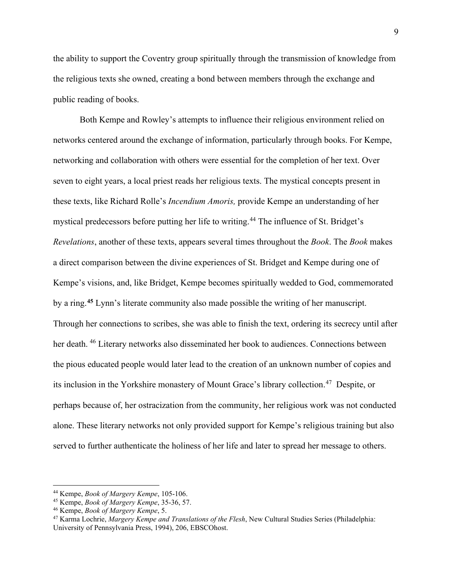the ability to support the Coventry group spiritually through the transmission of knowledge from the religious texts she owned, creating a bond between members through the exchange and public reading of books.

Both Kempe and Rowley's attempts to influence their religious environment relied on networks centered around the exchange of information, particularly through books. For Kempe, networking and collaboration with others were essential for the completion of her text. Over seven to eight years, a local priest reads her religious texts. The mystical concepts present in these texts, like Richard Rolle's *Incendium Amoris,* provide Kempe an understanding of her mystical predecessors before putting her life to writing.<sup>[44](#page-10-0)</sup> The influence of St. Bridget's *Revelations*, another of these texts, appears several times throughout the *Book*. The *Book* makes a direct comparison between the divine experiences of St. Bridget and Kempe during one of Kempe's visions, and, like Bridget, Kempe becomes spiritually wedded to God, commemorated by a ring.**[45](#page-10-1)** Lynn's literate community also made possible the writing of her manuscript. Through her connections to scribes, she was able to finish the text, ordering its secrecy until after her death. [46](#page-10-2) Literary networks also disseminated her book to audiences. Connections between the pious educated people would later lead to the creation of an unknown number of copies and its inclusion in the Yorkshire monastery of Mount Grace's library collection.[47](#page-10-3) Despite, or perhaps because of, her ostracization from the community, her religious work was not conducted alone. These literary networks not only provided support for Kempe's religious training but also served to further authenticate the holiness of her life and later to spread her message to others.

<span id="page-10-0"></span><sup>44</sup> Kempe, *Book of Margery Kempe*, 105-106.

<span id="page-10-1"></span><sup>45</sup> Kempe, *Book of Margery Kempe*, 35-36, 57.

<span id="page-10-2"></span><sup>46</sup> Kempe, *Book of Margery Kempe*, 5.

<span id="page-10-3"></span><sup>47</sup> Karma Lochrie, *Margery Kempe and Translations of the Flesh*, New Cultural Studies Series (Philadelphia: University of Pennsylvania Press, 1994), 206, EBSCOhost.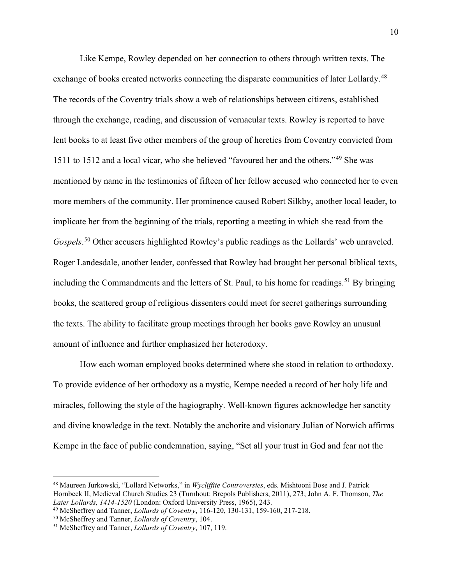Like Kempe, Rowley depended on her connection to others through written texts. The exchange of books created networks connecting the disparate communities of later Lollardy.<sup>[48](#page-11-0)</sup> The records of the Coventry trials show a web of relationships between citizens, established through the exchange, reading, and discussion of vernacular texts. Rowley is reported to have lent books to at least five other members of the group of heretics from Coventry convicted from 1511 to 1512 and a local vicar, who she believed "favoured her and the others."[49](#page-11-1) She was mentioned by name in the testimonies of fifteen of her fellow accused who connected her to even more members of the community. Her prominence caused Robert Silkby, another local leader, to implicate her from the beginning of the trials, reporting a meeting in which she read from the Gospels.<sup>[50](#page-11-2)</sup> Other accusers highlighted Rowley's public readings as the Lollards' web unraveled. Roger Landesdale, another leader, confessed that Rowley had brought her personal biblical texts, including the Commandments and the letters of St. Paul, to his home for readings.<sup>[51](#page-11-3)</sup> By bringing books, the scattered group of religious dissenters could meet for secret gatherings surrounding the texts. The ability to facilitate group meetings through her books gave Rowley an unusual amount of influence and further emphasized her heterodoxy.

How each woman employed books determined where she stood in relation to orthodoxy. To provide evidence of her orthodoxy as a mystic, Kempe needed a record of her holy life and miracles, following the style of the hagiography. Well-known figures acknowledge her sanctity and divine knowledge in the text. Notably the anchorite and visionary Julian of Norwich affirms Kempe in the face of public condemnation, saying, "Set all your trust in God and fear not the

<span id="page-11-0"></span><sup>48</sup> Maureen Jurkowski, "Lollard Networks," in *Wycliffite Controversies*, eds. Mishtooni Bose and J. Patrick Hornbeck II, Medieval Church Studies 23 (Turnhout: Brepols Publishers, 2011), 273; John A. F. Thomson, *The Later Lollards, 1414-1520* (London: Oxford University Press, 1965), 243.

<span id="page-11-1"></span><sup>49</sup> McSheffrey and Tanner, *Lollards of Coventry*, 116-120, 130-131, 159-160, 217-218.

<span id="page-11-2"></span><sup>50</sup> McSheffrey and Tanner, *Lollards of Coventry*, 104.

<span id="page-11-3"></span><sup>51</sup> McSheffrey and Tanner, *Lollards of Coventry*, 107, 119.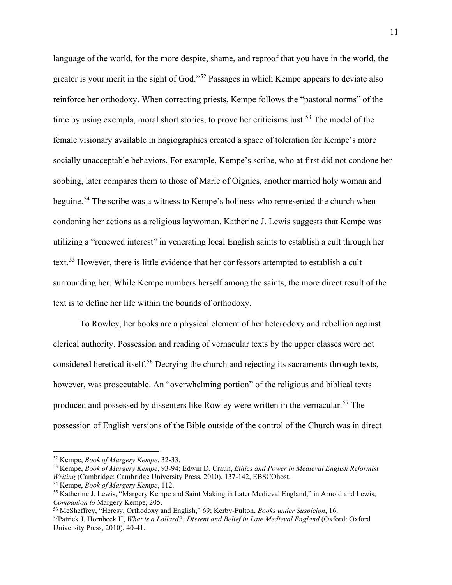language of the world, for the more despite, shame, and reproof that you have in the world, the greater is your merit in the sight of God."[52](#page-12-0) Passages in which Kempe appears to deviate also reinforce her orthodoxy. When correcting priests, Kempe follows the "pastoral norms" of the time by using exempla, moral short stories, to prove her criticisms just.<sup>[53](#page-12-1)</sup> The model of the female visionary available in hagiographies created a space of toleration for Kempe's more socially unacceptable behaviors. For example, Kempe's scribe, who at first did not condone her sobbing, later compares them to those of Marie of Oignies, another married holy woman and beguine.<sup>[54](#page-12-2)</sup> The scribe was a witness to Kempe's holiness who represented the church when condoning her actions as a religious laywoman. Katherine J. Lewis suggests that Kempe was utilizing a "renewed interest" in venerating local English saints to establish a cult through her text.<sup>[55](#page-12-3)</sup> However, there is little evidence that her confessors attempted to establish a cult surrounding her. While Kempe numbers herself among the saints, the more direct result of the text is to define her life within the bounds of orthodoxy.

To Rowley, her books are a physical element of her heterodoxy and rebellion against clerical authority. Possession and reading of vernacular texts by the upper classes were not considered heretical itself.<sup>[56](#page-12-4)</sup> Decrying the church and rejecting its sacraments through texts, however, was prosecutable. An "overwhelming portion" of the religious and biblical texts produced and possessed by dissenters like Rowley were written in the vernacular.<sup>[57](#page-12-5)</sup> The possession of English versions of the Bible outside of the control of the Church was in direct

<span id="page-12-0"></span><sup>52</sup> Kempe, *Book of Margery Kempe*, 32-33.

<span id="page-12-1"></span><sup>53</sup> Kempe, *Book of Margery Kempe*, 93-94; Edwin D. Craun, *Ethics and Power in Medieval English Reformist Writing* (Cambridge: Cambridge University Press, 2010), 137-142, EBSCOhost.

<span id="page-12-2"></span><sup>54</sup> Kempe, *Book of Margery Kempe*, 112.

<span id="page-12-3"></span><sup>55</sup> Katherine J. Lewis, "Margery Kempe and Saint Making in Later Medieval England," in Arnold and Lewis, *Companion to* Margery Kempe, 205.

<span id="page-12-4"></span><sup>56</sup> McSheffrey, "Heresy, Orthodoxy and English," 69; Kerby-Fulton, *Books under Suspicion*, 16.

<span id="page-12-5"></span><sup>57</sup>Patrick J. Hornbeck II, *What is a Lollard?: Dissent and Belief in Late Medieval England* (Oxford: Oxford University Press, 2010), 40-41.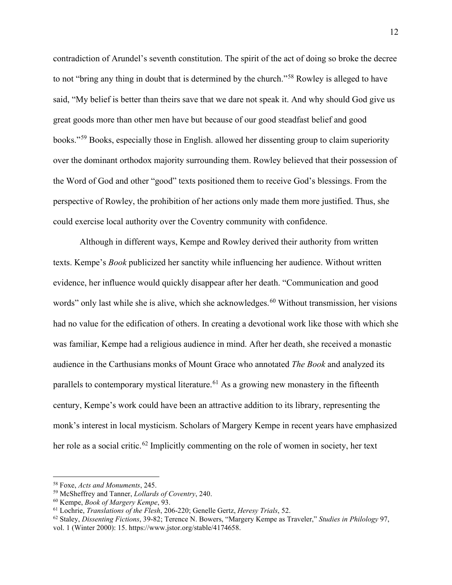contradiction of Arundel's seventh constitution. The spirit of the act of doing so broke the decree to not "bring any thing in doubt that is determined by the church."[58](#page-13-0) Rowley is alleged to have said, "My belief is better than theirs save that we dare not speak it. And why should God give us great goods more than other men have but because of our good steadfast belief and good books."[59](#page-13-1) Books, especially those in English. allowed her dissenting group to claim superiority over the dominant orthodox majority surrounding them. Rowley believed that their possession of the Word of God and other "good" texts positioned them to receive God's blessings. From the perspective of Rowley, the prohibition of her actions only made them more justified. Thus, she could exercise local authority over the Coventry community with confidence.

Although in different ways, Kempe and Rowley derived their authority from written texts. Kempe's *Book* publicized her sanctity while influencing her audience. Without written evidence, her influence would quickly disappear after her death. "Communication and good words" only last while she is alive, which she acknowledges.<sup>[60](#page-13-2)</sup> Without transmission, her visions had no value for the edification of others. In creating a devotional work like those with which she was familiar, Kempe had a religious audience in mind. After her death, she received a monastic audience in the Carthusians monks of Mount Grace who annotated *The Book* and analyzed its parallels to contemporary mystical literature.<sup>[61](#page-13-3)</sup> As a growing new monastery in the fifteenth century, Kempe's work could have been an attractive addition to its library, representing the monk's interest in local mysticism. Scholars of Margery Kempe in recent years have emphasized her role as a social critic.<sup>[62](#page-13-4)</sup> Implicitly commenting on the role of women in society, her text

<span id="page-13-0"></span><sup>58</sup> Foxe, *Acts and Monuments*, 245.

<span id="page-13-1"></span><sup>59</sup> McSheffrey and Tanner, *Lollards of Coventry*, 240.

<span id="page-13-2"></span><sup>60</sup> Kempe, *Book of Margery Kempe*, 93.

<span id="page-13-3"></span><sup>61</sup> Lochrie, *Translations of the Flesh*, 206-220; Genelle Gertz, *Heresy Trials*, 52.

<span id="page-13-4"></span><sup>62</sup> Staley, *Dissenting Fictions*, 39-82; Terence N. Bowers, "Margery Kempe as Traveler," *Studies in Philology* 97, vol. 1 (Winter 2000): 15. https://www.jstor.org/stable/4174658.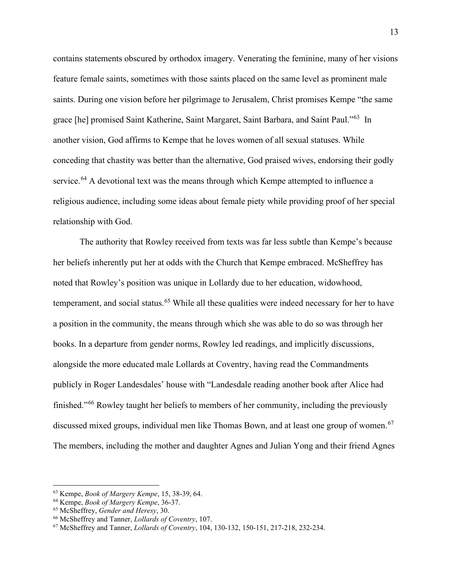contains statements obscured by orthodox imagery. Venerating the feminine, many of her visions feature female saints, sometimes with those saints placed on the same level as prominent male saints. During one vision before her pilgrimage to Jerusalem, Christ promises Kempe "the same grace [he] promised Saint Katherine, Saint Margaret, Saint Barbara, and Saint Paul."[63](#page-14-0) In another vision, God affirms to Kempe that he loves women of all sexual statuses. While conceding that chastity was better than the alternative, God praised wives, endorsing their godly service.<sup>[64](#page-14-1)</sup> A devotional text was the means through which Kempe attempted to influence a religious audience, including some ideas about female piety while providing proof of her special relationship with God.

The authority that Rowley received from texts was far less subtle than Kempe's because her beliefs inherently put her at odds with the Church that Kempe embraced. McSheffrey has noted that Rowley's position was unique in Lollardy due to her education, widowhood, temperament, and social status.<sup>[65](#page-14-2)</sup> While all these qualities were indeed necessary for her to have a position in the community, the means through which she was able to do so was through her books. In a departure from gender norms, Rowley led readings, and implicitly discussions, alongside the more educated male Lollards at Coventry, having read the Commandments publicly in Roger Landesdales' house with "Landesdale reading another book after Alice had finished."[66](#page-14-3) Rowley taught her beliefs to members of her community, including the previously discussed mixed groups, individual men like Thomas Bown, and at least one group of women.<sup>[67](#page-14-4)</sup> The members, including the mother and daughter Agnes and Julian Yong and their friend Agnes

<span id="page-14-0"></span><sup>63</sup> Kempe, *Book of Margery Kempe*, 15, 38-39, 64.

<span id="page-14-1"></span><sup>64</sup> Kempe, *Book of Margery Kempe*, 36-37.

<span id="page-14-2"></span><sup>65</sup> McSheffrey, *Gender and Heresy*, 30.

<span id="page-14-3"></span><sup>66</sup> McSheffrey and Tanner, *Lollards of Coventry*, 107.

<span id="page-14-4"></span><sup>67</sup> McSheffrey and Tanner, *Lollards of Coventry*, 104, 130-132, 150-151, 217-218, 232-234.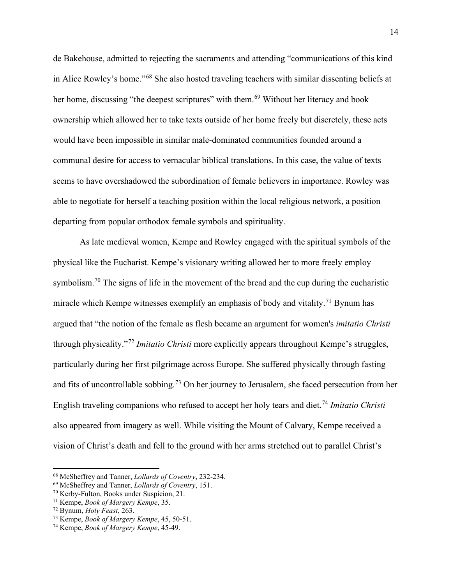de Bakehouse, admitted to rejecting the sacraments and attending "communications of this kind in Alice Rowley's home."[68](#page-15-0) She also hosted traveling teachers with similar dissenting beliefs at her home, discussing "the deepest scriptures" with them.<sup>[69](#page-15-1)</sup> Without her literacy and book ownership which allowed her to take texts outside of her home freely but discretely, these acts would have been impossible in similar male-dominated communities founded around a communal desire for access to vernacular biblical translations. In this case, the value of texts seems to have overshadowed the subordination of female believers in importance. Rowley was able to negotiate for herself a teaching position within the local religious network, a position departing from popular orthodox female symbols and spirituality.

As late medieval women, Kempe and Rowley engaged with the spiritual symbols of the physical like the Eucharist. Kempe's visionary writing allowed her to more freely employ symbolism.<sup>[70](#page-15-2)</sup> The signs of life in the movement of the bread and the cup during the eucharistic miracle which Kempe witnesses exemplify an emphasis of body and vitality.<sup>[71](#page-15-3)</sup> Bynum has argued that "the notion of the female as flesh became an argument for women's *imitatio Christi*  through physicality."[72](#page-15-4) *Imitatio Christi* more explicitly appears throughout Kempe's struggles, particularly during her first pilgrimage across Europe. She suffered physically through fasting and fits of uncontrollable sobbing.<sup>[73](#page-15-5)</sup> On her journey to Jerusalem, she faced persecution from her English traveling companions who refused to accept her holy tears and diet.[74](#page-15-6) *Imitatio Christi* also appeared from imagery as well. While visiting the Mount of Calvary, Kempe received a vision of Christ's death and fell to the ground with her arms stretched out to parallel Christ's

<span id="page-15-0"></span><sup>68</sup> McSheffrey and Tanner, *Lollards of Coventry*, 232-234.

<span id="page-15-1"></span><sup>69</sup> McSheffrey and Tanner, *Lollards of Coventry*, 151.

<span id="page-15-2"></span><sup>70</sup> Kerby-Fulton, Books under Suspicion, 21.

<span id="page-15-3"></span><sup>71</sup> Kempe, *Book of Margery Kempe*, 35.

<span id="page-15-4"></span><sup>72</sup> Bynum, *Holy Feast*, 263.

<span id="page-15-5"></span><sup>73</sup> Kempe, *Book of Margery Kempe*, 45, 50-51.

<span id="page-15-6"></span><sup>74</sup> Kempe, *Book of Margery Kempe*, 45-49.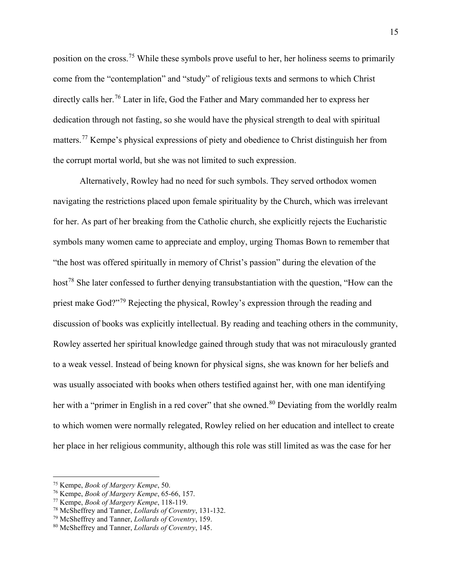position on the cross.[75](#page-16-0) While these symbols prove useful to her, her holiness seems to primarily come from the "contemplation" and "study" of religious texts and sermons to which Christ directly calls her.<sup>[76](#page-16-1)</sup> Later in life, God the Father and Mary commanded her to express her dedication through not fasting, so she would have the physical strength to deal with spiritual matters.<sup>[77](#page-16-2)</sup> Kempe's physical expressions of piety and obedience to Christ distinguish her from the corrupt mortal world, but she was not limited to such expression.

Alternatively, Rowley had no need for such symbols. They served orthodox women navigating the restrictions placed upon female spirituality by the Church, which was irrelevant for her. As part of her breaking from the Catholic church, she explicitly rejects the Eucharistic symbols many women came to appreciate and employ, urging Thomas Bown to remember that "the host was offered spiritually in memory of Christ's passion" during the elevation of the host<sup>[78](#page-16-3)</sup> She later confessed to further denying transubstantiation with the question, "How can the priest make God?"[79](#page-16-4) Rejecting the physical, Rowley's expression through the reading and discussion of books was explicitly intellectual. By reading and teaching others in the community, Rowley asserted her spiritual knowledge gained through study that was not miraculously granted to a weak vessel. Instead of being known for physical signs, she was known for her beliefs and was usually associated with books when others testified against her, with one man identifying her with a "primer in English in a red cover" that she owned.<sup>[80](#page-16-5)</sup> Deviating from the worldly realm to which women were normally relegated, Rowley relied on her education and intellect to create her place in her religious community, although this role was still limited as was the case for her

<span id="page-16-0"></span><sup>75</sup> Kempe, *Book of Margery Kempe*, 50.

<span id="page-16-1"></span><sup>76</sup> Kempe, *Book of Margery Kempe*, 65-66, 157.

<span id="page-16-2"></span><sup>77</sup> Kempe, *Book of Margery Kempe*, 118-119.

<span id="page-16-3"></span><sup>78</sup> McSheffrey and Tanner, *Lollards of Coventry*, 131-132.

<span id="page-16-4"></span><sup>79</sup> McSheffrey and Tanner, *Lollards of Coventry*, 159.

<span id="page-16-5"></span><sup>80</sup> McSheffrey and Tanner, *Lollards of Coventry*, 145.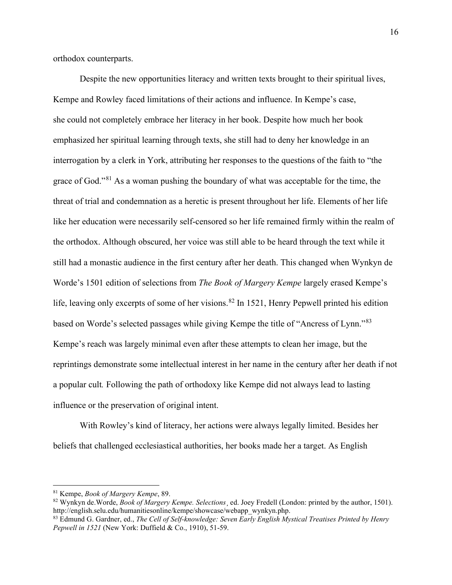orthodox counterparts.

Despite the new opportunities literacy and written texts brought to their spiritual lives, Kempe and Rowley faced limitations of their actions and influence. In Kempe's case, she could not completely embrace her literacy in her book. Despite how much her book emphasized her spiritual learning through texts, she still had to deny her knowledge in an interrogation by a clerk in York, attributing her responses to the questions of the faith to "the grace of God."<sup>[81](#page-17-0)</sup> As a woman pushing the boundary of what was acceptable for the time, the threat of trial and condemnation as a heretic is present throughout her life. Elements of her life like her education were necessarily self-censored so her life remained firmly within the realm of the orthodox. Although obscured, her voice was still able to be heard through the text while it still had a monastic audience in the first century after her death. This changed when Wynkyn de Worde's 1501 edition of selections from *The Book of Margery Kempe* largely erased Kempe's life, leaving only excerpts of some of her visions.<sup>[82](#page-17-1)</sup> In 1521, Henry Pepwell printed his edition based on Worde's selected passages while giving Kempe the title of "Ancress of Lynn."[83](#page-17-2) Kempe's reach was largely minimal even after these attempts to clean her image, but the reprintings demonstrate some intellectual interest in her name in the century after her death if not a popular cult*.* Following the path of orthodoxy like Kempe did not always lead to lasting influence or the preservation of original intent.

With Rowley's kind of literacy, her actions were always legally limited. Besides her beliefs that challenged ecclesiastical authorities, her books made her a target. As English

<span id="page-17-0"></span><sup>81</sup> Kempe, *Book of Margery Kempe*, 89.

<span id="page-17-1"></span><sup>82</sup> Wynkyn de.Worde, *Book of Margery Kempe. Selections*¸ ed. Joey Fredell (London: printed by the author, 1501). http://english.selu.edu/humanitiesonline/kempe/showcase/webapp\_wynkyn.php.

<span id="page-17-2"></span><sup>83</sup> Edmund G. Gardner, ed., *The Cell of Self-knowledge: Seven Early English Mystical Treatises Printed by Henry Pepwell in 1521* (New York: Duffield & Co., 1910), 51-59.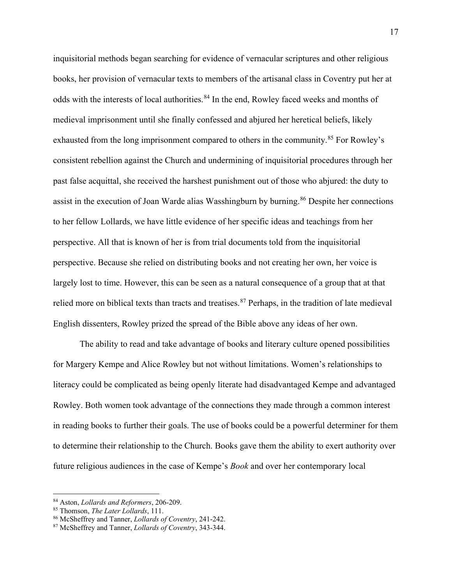inquisitorial methods began searching for evidence of vernacular scriptures and other religious books, her provision of vernacular texts to members of the artisanal class in Coventry put her at odds with the interests of local authorities.<sup>[84](#page-18-0)</sup> In the end, Rowley faced weeks and months of medieval imprisonment until she finally confessed and abjured her heretical beliefs, likely exhausted from the long imprisonment compared to others in the community.<sup>[85](#page-18-1)</sup> For Rowley's consistent rebellion against the Church and undermining of inquisitorial procedures through her past false acquittal, she received the harshest punishment out of those who abjured: the duty to assist in the execution of Joan Warde alias Wasshingburn by burning.<sup>[86](#page-18-2)</sup> Despite her connections to her fellow Lollards, we have little evidence of her specific ideas and teachings from her perspective. All that is known of her is from trial documents told from the inquisitorial perspective. Because she relied on distributing books and not creating her own, her voice is largely lost to time. However, this can be seen as a natural consequence of a group that at that relied more on biblical texts than tracts and treatises.<sup>[87](#page-18-3)</sup> Perhaps, in the tradition of late medieval English dissenters, Rowley prized the spread of the Bible above any ideas of her own.

The ability to read and take advantage of books and literary culture opened possibilities for Margery Kempe and Alice Rowley but not without limitations. Women's relationships to literacy could be complicated as being openly literate had disadvantaged Kempe and advantaged Rowley. Both women took advantage of the connections they made through a common interest in reading books to further their goals. The use of books could be a powerful determiner for them to determine their relationship to the Church. Books gave them the ability to exert authority over future religious audiences in the case of Kempe's *Book* and over her contemporary local

<span id="page-18-0"></span><sup>84</sup> Aston, *Lollards and Reformers*, 206-209.

<span id="page-18-1"></span><sup>85</sup> Thomson, *The Later Lollards*, 111.

<span id="page-18-2"></span><sup>86</sup> McSheffrey and Tanner, *Lollards of Coventry*, 241-242.

<span id="page-18-3"></span><sup>87</sup> McSheffrey and Tanner, *Lollards of Coventry*, 343-344.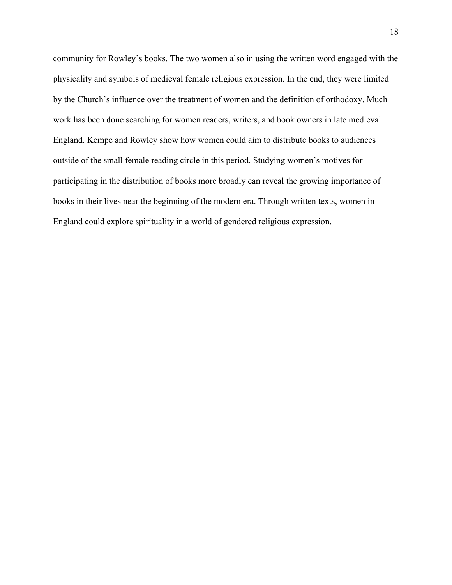community for Rowley's books. The two women also in using the written word engaged with the physicality and symbols of medieval female religious expression. In the end, they were limited by the Church's influence over the treatment of women and the definition of orthodoxy. Much work has been done searching for women readers, writers, and book owners in late medieval England. Kempe and Rowley show how women could aim to distribute books to audiences outside of the small female reading circle in this period. Studying women's motives for participating in the distribution of books more broadly can reveal the growing importance of books in their lives near the beginning of the modern era. Through written texts, women in England could explore spirituality in a world of gendered religious expression.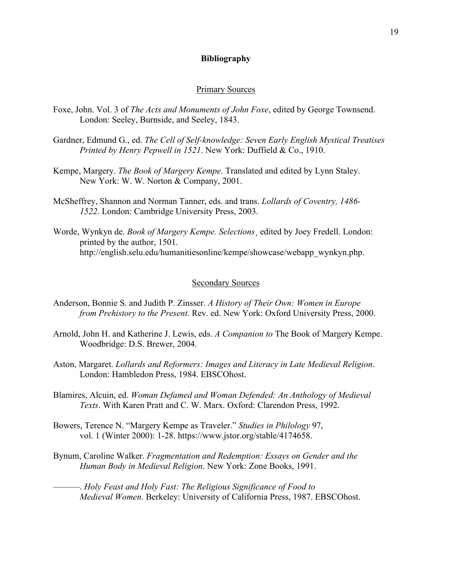### **Bibliography**

### Primary Sources

- Foxe, John. Vol. 3 of *The Acts and Monuments of John Foxe*, edited by George Townsend. London: Seeley, Burnside, and Seeley, 1843.
- Gardner, Edmund G., ed. *The Cell of Self-knowledge: Seven Early English Mystical Treatises Printed by Henry Pepwell in 1521*. New York: Duffield & Co., 1910.
- Kempe, Margery. *The Book of Margery Kempe*. Translated and edited by Lynn Staley. New York: W. W. Norton & Company, 2001.
- McSheffrey, Shannon and Norman Tanner, eds. and trans. *Lollards of Coventry, 1486- 1522*. London: Cambridge University Press, 2003.
- Worde, Wynkyn de. *Book of Margery Kempe. Selections*¸ edited by Joey Fredell. London: printed by the author, 1501. http://english.selu.edu/humanitiesonline/kempe/showcase/webapp\_wynkyn.php.

#### Secondary Sources

- Anderson, Bonnie S. and Judith P. Zinsser. *A History of Their Own: Women in Europe from Prehistory to the Present*. Rev. ed. New York: Oxford University Press, 2000.
- Arnold, John H. and Katherine J. Lewis, eds. *A Companion to* The Book of Margery Kempe. Woodbridge: D.S. Brewer, 2004.
- Aston, Margaret. *Lollards and Reformers: Images and Literacy in Late Medieval Religion*. London: Hambledon Press, 1984. EBSCOhost.
- Blamires, Alcuin, ed. *Woman Defamed and Woman Defended: An Anthology of Medieval Texts*. With Karen Pratt and C. W. Marx. Oxford: Clarendon Press, 1992.
- Bowers, Terence N. "Margery Kempe as Traveler." *Studies in Philology* 97, vol. 1 (Winter 2000): 1-28. https://www.jstor.org/stable/4174658.
- Bynum, Caroline Walker. *Fragmentation and Redemption: Essays on Gender and the Human Body in Medieval Religion*. New York: Zone Books, 1991.
	- ———. *Holy Feast and Holy Fast: The Religious Significance of Food to Medieval Women*. Berkeley: University of California Press, 1987. EBSCOhost.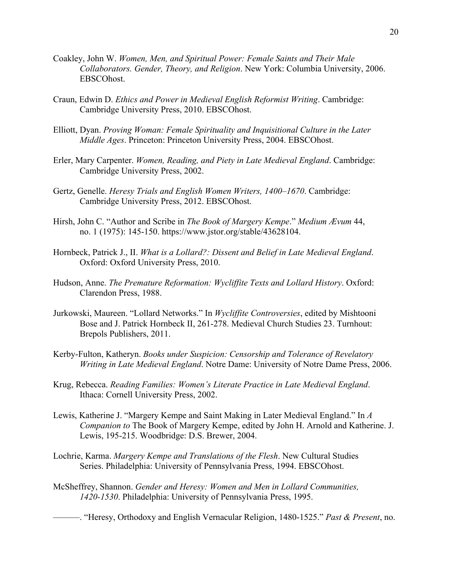- Coakley, John W. *Women, Men, and Spiritual Power: Female Saints and Their Male Collaborators. Gender, Theory, and Religion*. New York: Columbia University, 2006. EBSCOhost.
- Craun, Edwin D. *Ethics and Power in Medieval English Reformist Writing*. Cambridge: Cambridge University Press, 2010. EBSCOhost.
- Elliott, Dyan. *Proving Woman: Female Spirituality and Inquisitional Culture in the Later Middle Ages*. Princeton: Princeton University Press, 2004. EBSCOhost.
- Erler, Mary Carpenter. *Women, Reading, and Piety in Late Medieval England*. Cambridge: Cambridge University Press, 2002.
- Gertz, Genelle. *Heresy Trials and English Women Writers, 1400–1670*. Cambridge: Cambridge University Press, 2012. EBSCOhost.
- Hirsh, John C. "Author and Scribe in *The Book of Margery Kempe*." *Medium Ævum* 44, no. 1 (1975): 145-150. https://www.jstor.org/stable/43628104.
- Hornbeck, Patrick J., II. *What is a Lollard?: Dissent and Belief in Late Medieval England*. Oxford: Oxford University Press, 2010.
- Hudson, Anne. *The Premature Reformation: Wycliffite Texts and Lollard History*. Oxford: Clarendon Press, 1988.
- Jurkowski, Maureen. "Lollard Networks." In *Wycliffite Controversies*, edited by Mishtooni Bose and J. Patrick Hornbeck II, 261-278. Medieval Church Studies 23. Turnhout: Brepols Publishers, 2011.
- Kerby-Fulton, Katheryn. *Books under Suspicion: Censorship and Tolerance of Revelatory Writing in Late Medieval England*. Notre Dame: University of Notre Dame Press, 2006.
- Krug, Rebecca. *Reading Families: Women's Literate Practice in Late Medieval England*. Ithaca: Cornell University Press, 2002.
- Lewis, Katherine J. "Margery Kempe and Saint Making in Later Medieval England." In *A Companion to* The Book of Margery Kempe, edited by John H. Arnold and Katherine. J. Lewis, 195-215. Woodbridge: D.S. Brewer, 2004.
- Lochrie, Karma. *Margery Kempe and Translations of the Flesh*. New Cultural Studies Series. Philadelphia: University of Pennsylvania Press, 1994. EBSCOhost.
- McSheffrey, Shannon. *Gender and Heresy: Women and Men in Lollard Communities, 1420-1530*. Philadelphia: University of Pennsylvania Press, 1995.

———. "Heresy, Orthodoxy and English Vernacular Religion, 1480-1525." *Past & Present*, no.